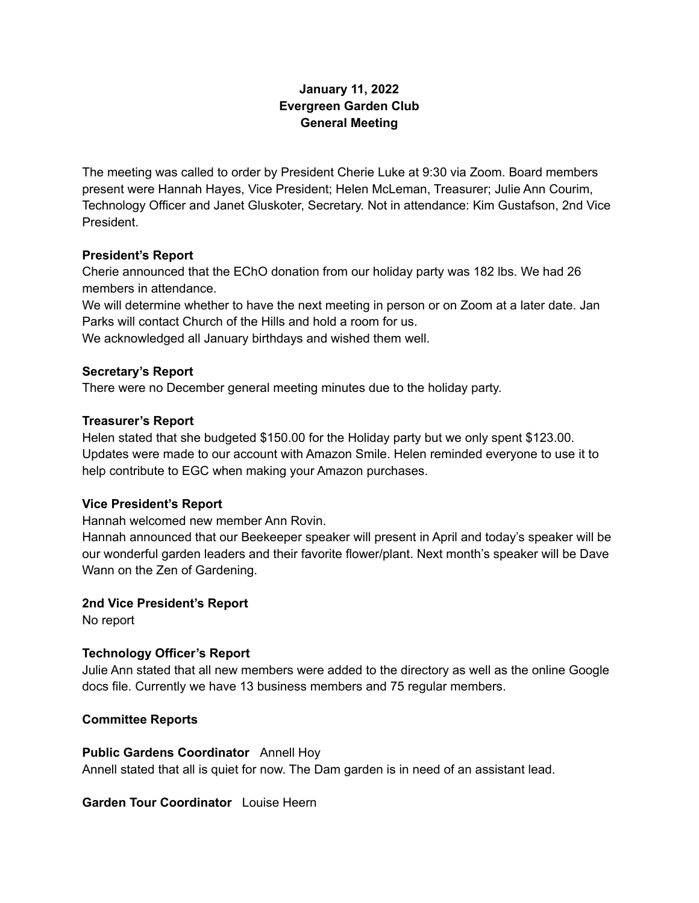# **January 11, 2022 Evergreen Garden Club General Meeting**

The meeting was called to order by President Cherie Luke at 9:30 via Zoom. Board members present were Hannah Hayes, Vice President; Helen McLeman, Treasurer; Julie Ann Courim, Technology Officer and Janet Gluskoter, Secretary. Not in attendance: Kim Gustafson, 2nd Vice President.

# **President's Report**

Cherie announced that the EChO donation from our holiday party was 182 lbs. We had 26 members in attendance.

We will determine whether to have the next meeting in person or on Zoom at a later date. Jan Parks will contact Church of the Hills and hold a room for us.

We acknowledged all January birthdays and wished them well.

### **Secretary's Report**

There were no December general meeting minutes due to the holiday party.

### **Treasurer's Report**

Helen stated that she budgeted \$150.00 for the Holiday party but we only spent \$123.00. Updates were made to our account with Amazon Smile. Helen reminded everyone to use it to help contribute to EGC when making your Amazon purchases.

#### **Vice President's Report**

Hannah welcomed new member Ann Rovin.

Hannah announced that our Beekeeper speaker will present in April and today's speaker will be our wonderful garden leaders and their favorite flower/plant. Next month's speaker will be Dave Wann on the Zen of Gardening.

#### **2nd Vice President's Report**

No report

# **Technology Officer's Report**

Julie Ann stated that all new members were added to the directory as well as the online Google docs file. Currently we have 13 business members and 75 regular members.

#### **Committee Reports**

#### **Public Gardens Coordinator** Annell Hoy

Annell stated that all is quiet for now. The Dam garden is in need of an assistant lead.

## **Garden Tour Coordinator** Louise Heern